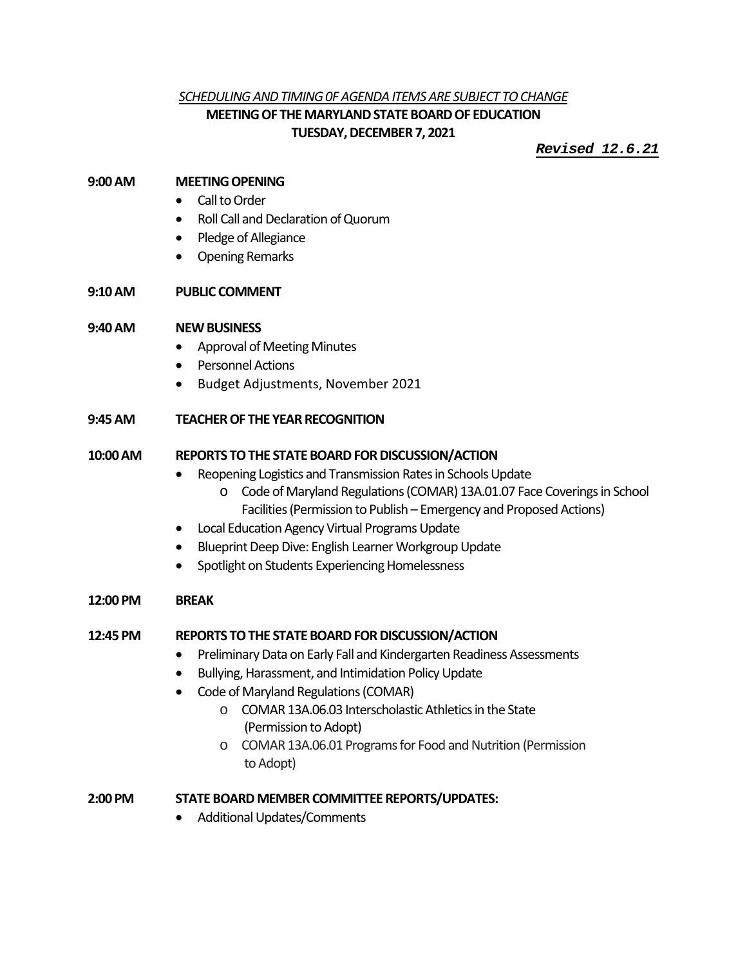## *SCHEDULING AND TIMING 0F AGENDA ITEMS ARE SUBJECT TO CHANGE* **MEETING OF THE MARYLAND STATE BOARD OF EDUCATION TUESDAY, DECEMBER 7, 2021**

*Revised 12.6.21*

#### **9:00AM MEETING OPENING**

- Call to Order
- Roll Call and Declaration of Quorum
- Pledge of Allegiance
- Opening Remarks

## **9:10AM PUBLIC COMMENT**

### **9:40 AM NEW BUSINESS**

- Approval of Meeting Minutes
- Personnel Actions
- Budget Adjustments, November 2021

## **9:45AM TEACHER OF THE YEAR RECOGNITION**

### **10:00AM REPORTS TO THE STATE BOARD FOR DISCUSSION/ACTION**

- Reopening Logistics and Transmission Rates in Schools Update
	- o Code of Maryland Regulations (COMAR) 13A.01.07 Face Coverings in School Facilities(Permission to Publish – Emergency and Proposed Actions)
- Local Education Agency Virtual Programs Update
- Blueprint Deep Dive: English Learner Workgroup Update
- Spotlight on Students Experiencing Homelessness

#### **12:00 PM BREAK**

#### **12:45 PM REPORTS TO THE STATE BOARD FOR DISCUSSION/ACTION**

- Preliminary Data on Early Fall and Kindergarten Readiness Assessments
- Bullying, Harassment, and Intimidation Policy Update
- Code of Maryland Regulations (COMAR)
	- o COMAR 13A.06.03 Interscholastic Athleticsin the State (Permission to Adopt)
	- o COMAR 13A.06.01 Programs for Food and Nutrition (Permission to Adopt)

#### **2:00 PM STATE BOARD MEMBER COMMITTEE REPORTS/UPDATES:**

• Additional Updates/Comments